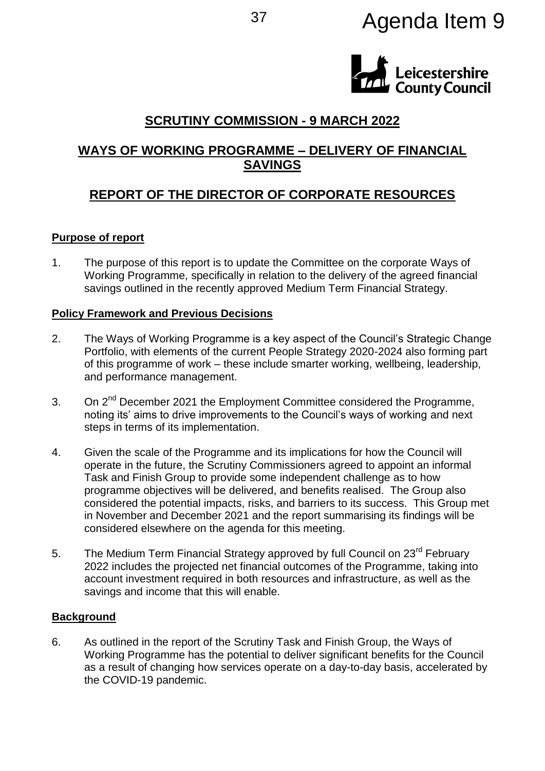# <sup>37</sup> Agenda Item 9



# **SCRUTINY COMMISSION - 9 MARCH 2022**

## **WAYS OF WORKING PROGRAMME – DELIVERY OF FINANCIAL SAVINGS**

# **REPORT OF THE DIRECTOR OF CORPORATE RESOURCES**

### **Purpose of report**

1. The purpose of this report is to update the Committee on the corporate Ways of Working Programme, specifically in relation to the delivery of the agreed financial savings outlined in the recently approved Medium Term Financial Strategy.

### **Policy Framework and Previous Decisions**

- 2. The Ways of Working Programme is a key aspect of the Council's Strategic Change Portfolio, with elements of the current People Strategy 2020-2024 also forming part of this programme of work – these include smarter working, wellbeing, leadership, and performance management.
- 3. On 2<sup>nd</sup> December 2021 the Employment Committee considered the Programme, noting its' aims to drive improvements to the Council's ways of working and next steps in terms of its implementation.
- 4. Given the scale of the Programme and its implications for how the Council will operate in the future, the Scrutiny Commissioners agreed to appoint an informal Task and Finish Group to provide some independent challenge as to how programme objectives will be delivered, and benefits realised. The Group also considered the potential impacts, risks, and barriers to its success. This Group met in November and December 2021 and the report summarising its findings will be considered elsewhere on the agenda for this meeting.
- 5. The Medium Term Financial Strategy approved by full Council on 23<sup>rd</sup> February 2022 includes the projected net financial outcomes of the Programme, taking into account investment required in both resources and infrastructure, as well as the savings and income that this will enable.

### **Background**

6. As outlined in the report of the Scrutiny Task and Finish Group, the Ways of Working Programme has the potential to deliver significant benefits for the Council as a result of changing how services operate on a day-to-day basis, accelerated by the COVID-19 pandemic.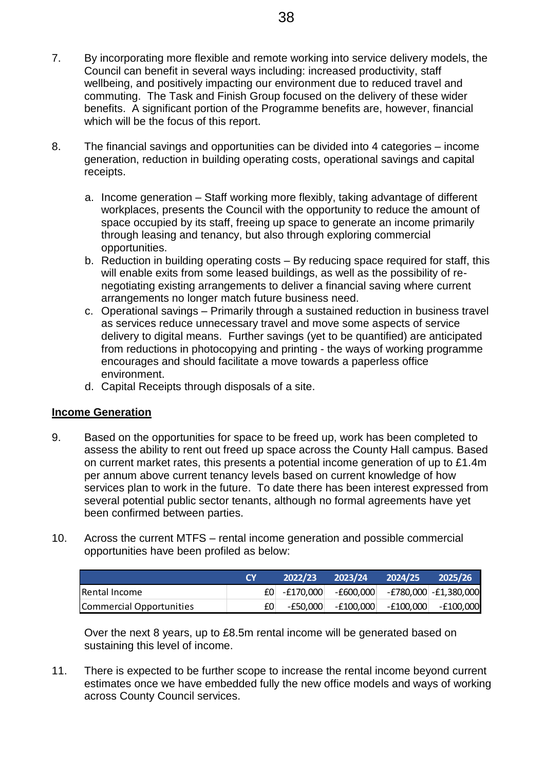- 7. By incorporating more flexible and remote working into service delivery models, the Council can benefit in several ways including: increased productivity, staff wellbeing, and positively impacting our environment due to reduced travel and commuting. The Task and Finish Group focused on the delivery of these wider benefits. A significant portion of the Programme benefits are, however, financial which will be the focus of this report.
- 8. The financial savings and opportunities can be divided into 4 categories income generation, reduction in building operating costs, operational savings and capital receipts.
	- a. Income generation Staff working more flexibly, taking advantage of different workplaces, presents the Council with the opportunity to reduce the amount of space occupied by its staff, freeing up space to generate an income primarily through leasing and tenancy, but also through exploring commercial opportunities.
	- b. Reduction in building operating costs By reducing space required for staff, this will enable exits from some leased buildings, as well as the possibility of renegotiating existing arrangements to deliver a financial saving where current arrangements no longer match future business need.
	- c. Operational savings Primarily through a sustained reduction in business travel as services reduce unnecessary travel and move some aspects of service delivery to digital means. Further savings (yet to be quantified) are anticipated from reductions in photocopying and printing - the ways of working programme encourages and should facilitate a move towards a paperless office environment.
	- d. Capital Receipts through disposals of a site.

### **Income Generation**

- 9. Based on the opportunities for space to be freed up, work has been completed to assess the ability to rent out freed up space across the County Hall campus. Based on current market rates, this presents a potential income generation of up to £1.4m per annum above current tenancy levels based on current knowledge of how services plan to work in the future. To date there has been interest expressed from several potential public sector tenants, although no formal agreements have yet been confirmed between parties. By incorporating more flexible and remote working into service delivery models, the courd can benefit in several ways including: increased productivity, start well benefit in several opportunities can be delivered at a co
- 10. Across the current MTFS rental income generation and possible commercial opportunities have been profiled as below:

|                          | 2022/23           | 2023/24   | 2024/25   | 2025/26               |
|--------------------------|-------------------|-----------|-----------|-----------------------|
| <b>IRental Income</b>    | $f0$ - $f170,000$ | -£600,000 |           | -£780,000 -£1,380,000 |
| Commercial Opportunities | -£50.000          | -£100.000 | -£100,000 | -£100,000             |

Over the next 8 years, up to £8.5m rental income will be generated based on sustaining this level of income.

11. There is expected to be further scope to increase the rental income beyond current estimates once we have embedded fully the new office models and ways of working across County Council services.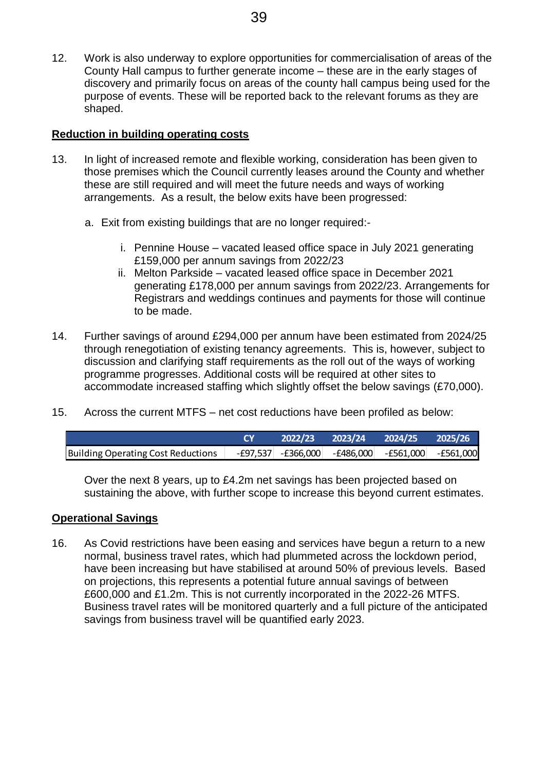12. Work is also underway to explore opportunities for commercialisation of areas of the County Hall campus to further generate income – these are in the early stages of discovery and primarily focus on areas of the county hall campus being used for the purpose of events. These will be reported back to the relevant forums as they are shaped. 39<br>Work is also underway to explore opportunities for commercialisation of areas of<br>County Hall campus to further generate income – these are in the early stages of<br>givecovery and primarily focus on areas of the county ha

### **Reduction in building operating costs**

- 13. In light of increased remote and flexible working, consideration has been given to those premises which the Council currently leases around the County and whether these are still required and will meet the future needs and ways of working arrangements. As a result, the below exits have been progressed:
	- a. Exit from existing buildings that are no longer required:
		- i. Pennine House vacated leased office space in July 2021 generating £159,000 per annum savings from 2022/23
		- ii. Melton Parkside vacated leased office space in December 2021 generating £178,000 per annum savings from 2022/23. Arrangements for Registrars and weddings continues and payments for those will continue to be made.
- 14. Further savings of around £294,000 per annum have been estimated from 2024/25 through renegotiation of existing tenancy agreements. This is, however, subject to discussion and clarifying staff requirements as the roll out of the ways of working programme progresses. Additional costs will be required at other sites to accommodate increased staffing which slightly offset the below savings (£70,000).
- 15. Across the current MTFS net cost reductions have been profiled as below:

| Building Operating Cost Reductions |  | $-$ £97,537 $-$ £366,000 $-$ £486,000 $-$ £561,000 $-$ £561,000 |  |
|------------------------------------|--|-----------------------------------------------------------------|--|

Over the next 8 years, up to £4.2m net savings has been projected based on sustaining the above, with further scope to increase this beyond current estimates.

### **Operational Savings**

16. As Covid restrictions have been easing and services have begun a return to a new normal, business travel rates, which had plummeted across the lockdown period, have been increasing but have stabilised at around 50% of previous levels. Based on projections, this represents a potential future annual savings of between £600,000 and £1.2m. This is not currently incorporated in the 2022-26 MTFS. Business travel rates will be monitored quarterly and a full picture of the anticipated savings from business travel will be quantified early 2023.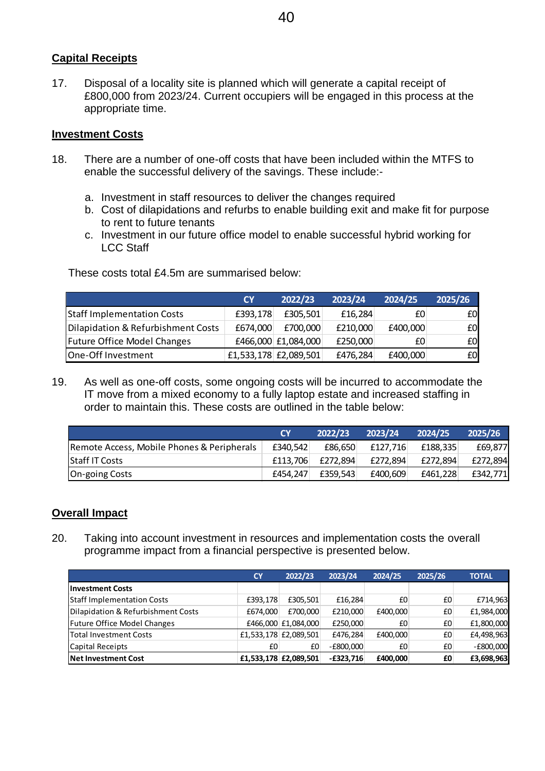## **Capital Receipts**

### **Investment Costs**

- 18. There are a number of one-off costs that have been included within the MTFS to enable the successful delivery of the savings. These include:
	- a. Investment in staff resources to deliver the changes required
	- b. Cost of dilapidations and refurbs to enable building exit and make fit for purpose to rent to future tenants
	- c. Investment in our future office model to enable successful hybrid working for LCC Staff

|                                    | <b>CY</b> | 2022/23               | 2023/24  | 2024/25  | 2025/26 |
|------------------------------------|-----------|-----------------------|----------|----------|---------|
| <b>Staff Implementation Costs</b>  | £393,178  | £305.501              | £16,284  | £0       | £0      |
| Dilapidation & Refurbishment Costs | £674,000  | £700,000              | £210,000 | £400,000 | £0      |
| Future Office Model Changes        |           | £466,000 £1,084,000   | £250,000 | £0       | £0      |
| One-Off Investment                 |           | £1,533,178 £2,089,501 | £476,284 | £400,000 | £0      |

|                                            | <b>CY</b> | 2022/23  | 2023/24  | 2024/25  | 2025/26  |
|--------------------------------------------|-----------|----------|----------|----------|----------|
| Remote Access, Mobile Phones & Peripherals | £340.542  | £86.650  | £127.716 | £188.335 | £69.877  |
| <b>Staff IT Costs</b>                      | £113.706  | £272.894 | £272.894 | £272.894 | £272.894 |
| <b>On-going Costs</b>                      | £454.247  | £359.543 | £400.609 | £461.228 | £342.771 |

### **Overall Impact**

|                                                                                                                                                                                                                                                                                                                                                                                                              |                       | 40                              |                      |                |          |                          |
|--------------------------------------------------------------------------------------------------------------------------------------------------------------------------------------------------------------------------------------------------------------------------------------------------------------------------------------------------------------------------------------------------------------|-----------------------|---------------------------------|----------------------|----------------|----------|--------------------------|
| <u>pital Receipts</u>                                                                                                                                                                                                                                                                                                                                                                                        |                       |                                 |                      |                |          |                          |
| Disposal of a locality site is planned which will generate a capital receipt of<br>£800,000 from 2023/24. Current occupiers will be engaged in this process at the<br>appropriate time.                                                                                                                                                                                                                      |                       |                                 |                      |                |          |                          |
| estment Costs                                                                                                                                                                                                                                                                                                                                                                                                |                       |                                 |                      |                |          |                          |
| There are a number of one-off costs that have been included within the MTFS to<br>enable the successful delivery of the savings. These include:-                                                                                                                                                                                                                                                             |                       |                                 |                      |                |          |                          |
| a. Investment in staff resources to deliver the changes required<br>b. Cost of dilapidations and refurbs to enable building exit and make fit for purpose<br>to rent to future tenants<br>c. Investment in our future office model to enable successful hybrid working for<br><b>LCC Staff</b>                                                                                                               |                       |                                 |                      |                |          |                          |
| These costs total £4.5m are summarised below:                                                                                                                                                                                                                                                                                                                                                                |                       |                                 |                      |                |          |                          |
|                                                                                                                                                                                                                                                                                                                                                                                                              | <b>CY</b>             | 2022/23                         | 2023/24              | 2024/25        | 2025/26  |                          |
| <b>Staff Implementation Costs</b>                                                                                                                                                                                                                                                                                                                                                                            | £393,178              | £305,501                        | £16,284              |                | £0       | £0                       |
| Dilapidation & Refurbishment Costs                                                                                                                                                                                                                                                                                                                                                                           | £674,000              | £700,000                        | £210,000             | £400,000       |          | £0                       |
| <b>Future Office Model Changes</b>                                                                                                                                                                                                                                                                                                                                                                           | £466,000 £1,084,000   |                                 | £250,000             |                | £0       | £0                       |
| One-Off Investment                                                                                                                                                                                                                                                                                                                                                                                           | £1,533,178 £2,089,501 |                                 | £476,284             | £400,000       |          | £0                       |
| As well as one-off costs, some ongoing costs will be incurred to accommodate the<br>IT move from a mixed economy to a fully laptop estate and increased staffing in<br>order to maintain this. These costs are outlined in the table below:<br>2022/23<br>2023/24<br>2024/25<br>2025/26<br><b>CY</b><br>£69,877<br>Remote Access, Mobile Phones & Peripherals<br>£340,542<br>£86,650<br>£127,716<br>£188,335 |                       |                                 |                      |                |          |                          |
| <b>Staff IT Costs</b>                                                                                                                                                                                                                                                                                                                                                                                        |                       | £113,706                        | £272,894             | £272,894       | £272,894 | £272,894                 |
| On-going Costs                                                                                                                                                                                                                                                                                                                                                                                               |                       | £454,247                        | £359,543             | £400,609       | £461,228 | £342,771                 |
| <u>erall Impact</u><br>Taking into account investment in resources and implementation costs the overall<br>programme impact from a financial perspective is presented below.                                                                                                                                                                                                                                 |                       |                                 |                      |                |          |                          |
|                                                                                                                                                                                                                                                                                                                                                                                                              | <b>CY</b>             | 2022/23                         | 2023/24              | 2024/25        | 2025/26  | <b>TOTAL</b>             |
| <b>Investment Costs</b>                                                                                                                                                                                                                                                                                                                                                                                      |                       |                                 |                      |                |          |                          |
| <b>Staff Implementation Costs</b><br>Dilapidation & Refurbishment Costs                                                                                                                                                                                                                                                                                                                                      | £393,178<br>£674,000  | £305,501                        | £16,284              | £0             | £0       | £714,963                 |
| <b>Future Office Model Changes</b>                                                                                                                                                                                                                                                                                                                                                                           |                       | £700,000<br>£466,000 £1,084,000 | £210,000<br>£250,000 | £400,000<br>£0 | £0<br>£0 | £1,984,000<br>£1,800,000 |
| <b>Total Investment Costs</b>                                                                                                                                                                                                                                                                                                                                                                                |                       | £1,533,178 £2,089,501           | £476,284             | £400,000       | £0       | £4,498,963               |
| Capital Receipts                                                                                                                                                                                                                                                                                                                                                                                             | £0                    | £0                              | $-E800,000$          | £0             | £0       | $-E800,000$              |
| <b>Net Investment Cost</b>                                                                                                                                                                                                                                                                                                                                                                                   |                       | £1,533,178 £2,089,501           | $-£323,716$          | £400,000       | £0       | £3,698,963               |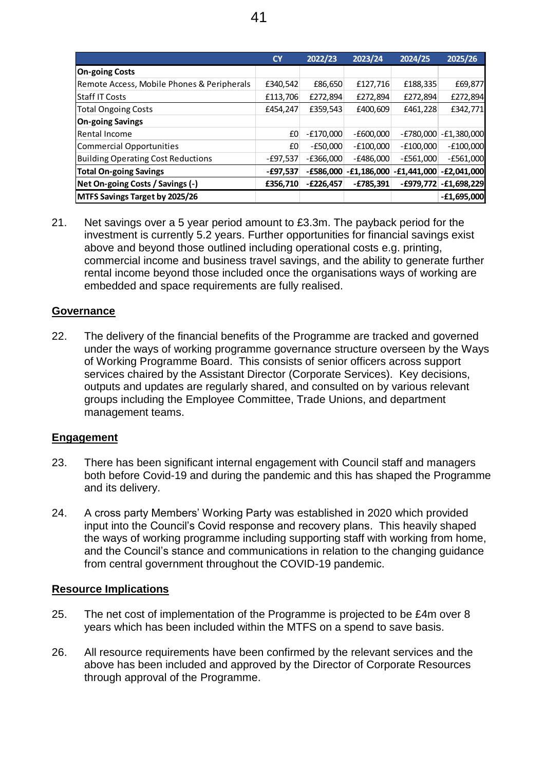|                                            | <b>CY</b>  | 2022/23     | 2023/24       | 2024/25       | 2025/26       |  |
|--------------------------------------------|------------|-------------|---------------|---------------|---------------|--|
| <b>On-going Costs</b>                      |            |             |               |               |               |  |
| Remote Access, Mobile Phones & Peripherals | £340,542   | £86,650     | £127,716      | £188,335      | £69,877       |  |
| <b>Staff IT Costs</b>                      | £113,706   | £272,894    | £272,894      | £272,894      | £272,894      |  |
| <b>Total Ongoing Costs</b>                 | £454,247   | £359,543    | £400,609      | £461,228      | £342,771      |  |
| <b>On-going Savings</b>                    |            |             |               |               |               |  |
| <b>Rental Income</b>                       | £0         | $-E170,000$ | $-£600,000$   | $-E780,000$   | $-E1,380,000$ |  |
| <b>Commercial Opportunities</b>            | £0         | $-£50,000$  | $-E100,000$   | $-E100,000$   | $-E100,000$   |  |
| <b>Building Operating Cost Reductions</b>  | -£97,537   | $-E366,000$ | $-E486,000$   | $-E561,000$   | $-£561,000$   |  |
| <b>Total On-going Savings</b>              | $-£97,537$ | $-£586,000$ | $-£1,186,000$ | $-£1,441,000$ | $-E2,041,000$ |  |
| Net On-going Costs / Savings (-)           | £356,710   | $-E226,457$ | $-£785,391$   | $-£979,772$   | $-£1,698,229$ |  |
| MTFS Savings Target by 2025/26             |            |             |               |               | $-£1,695,000$ |  |

21. Net savings over a 5 year period amount to £3.3m. The payback period for the investment is currently 5.2 years. Further opportunities for financial savings exist above and beyond those outlined including operational costs e.g. printing, commercial income and business travel savings, and the ability to generate further rental income beyond those included once the organisations ways of working are embedded and space requirements are fully realised.

#### **Governance**

22. The delivery of the financial benefits of the Programme are tracked and governed under the ways of working programme governance structure overseen by the Ways of Working Programme Board. This consists of senior officers across support services chaired by the Assistant Director (Corporate Services). Key decisions, outputs and updates are regularly shared, and consulted on by various relevant groups including the Employee Committee, Trade Unions, and department management teams.

#### **Engagement**

- 23. There has been significant internal engagement with Council staff and managers both before Covid-19 and during the pandemic and this has shaped the Programme and its delivery.
- 24. A cross party Members' Working Party was established in 2020 which provided input into the Council's Covid response and recovery plans. This heavily shaped the ways of working programme including supporting staff with working from home, and the Council's stance and communications in relation to the changing guidance from central government throughout the COVID-19 pandemic.

### **Resource Implications**

- 25. The net cost of implementation of the Programme is projected to be £4m over 8 years which has been included within the MTFS on a spend to save basis.
- 26. All resource requirements have been confirmed by the relevant services and the above has been included and approved by the Director of Corporate Resources through approval of the Programme.